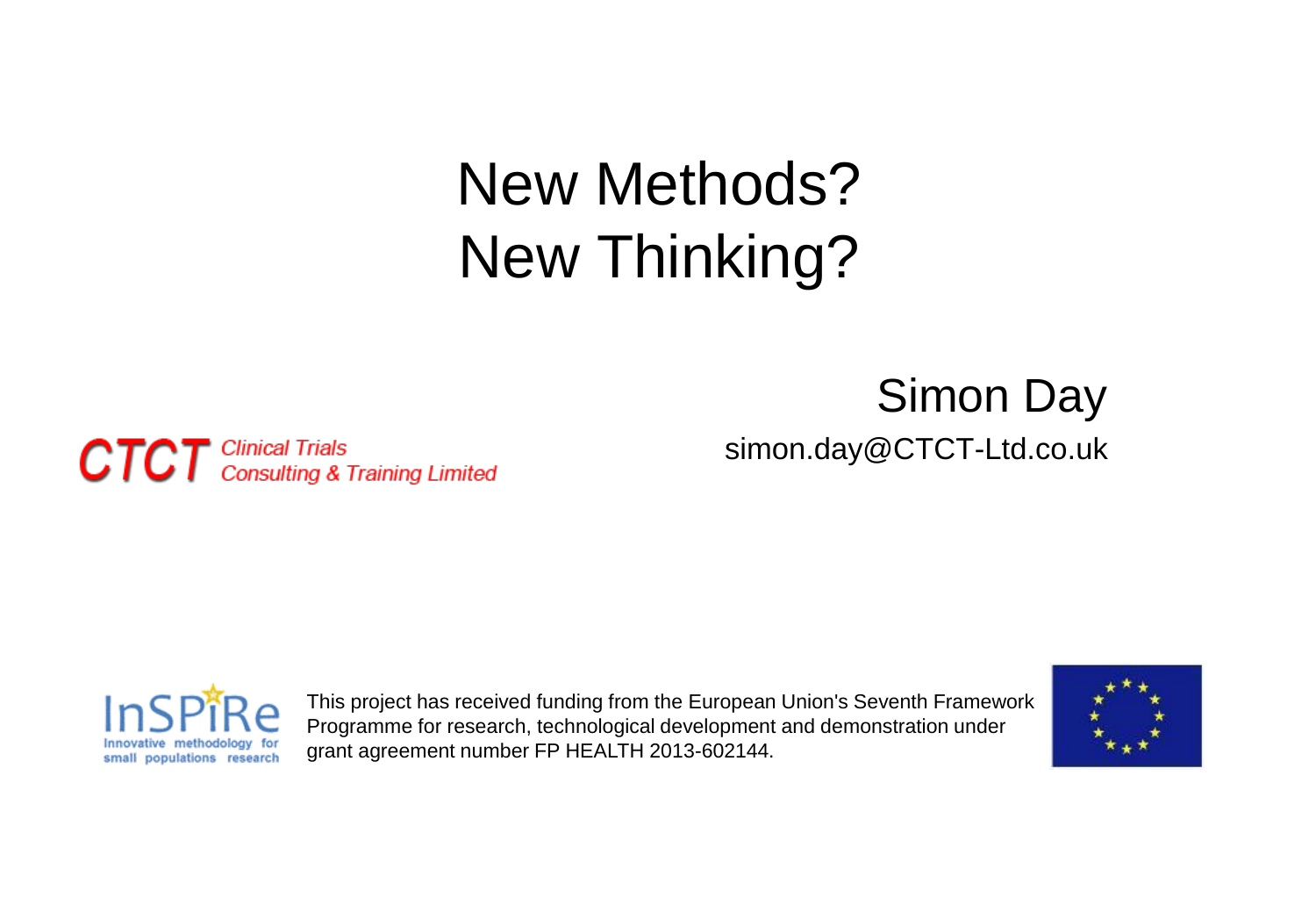#### New Methods? New Thinking?

#### Simon Day simon.day@CTCT-Ltd.co.uk

**CTCT** Clinical Trials<br>CTCT Consulting & Training Limited



This project has received funding from the European Union's Seventh Framework Programme for research, technological development and demonstration under grant agreement number FP HEALTH 2013-602144.

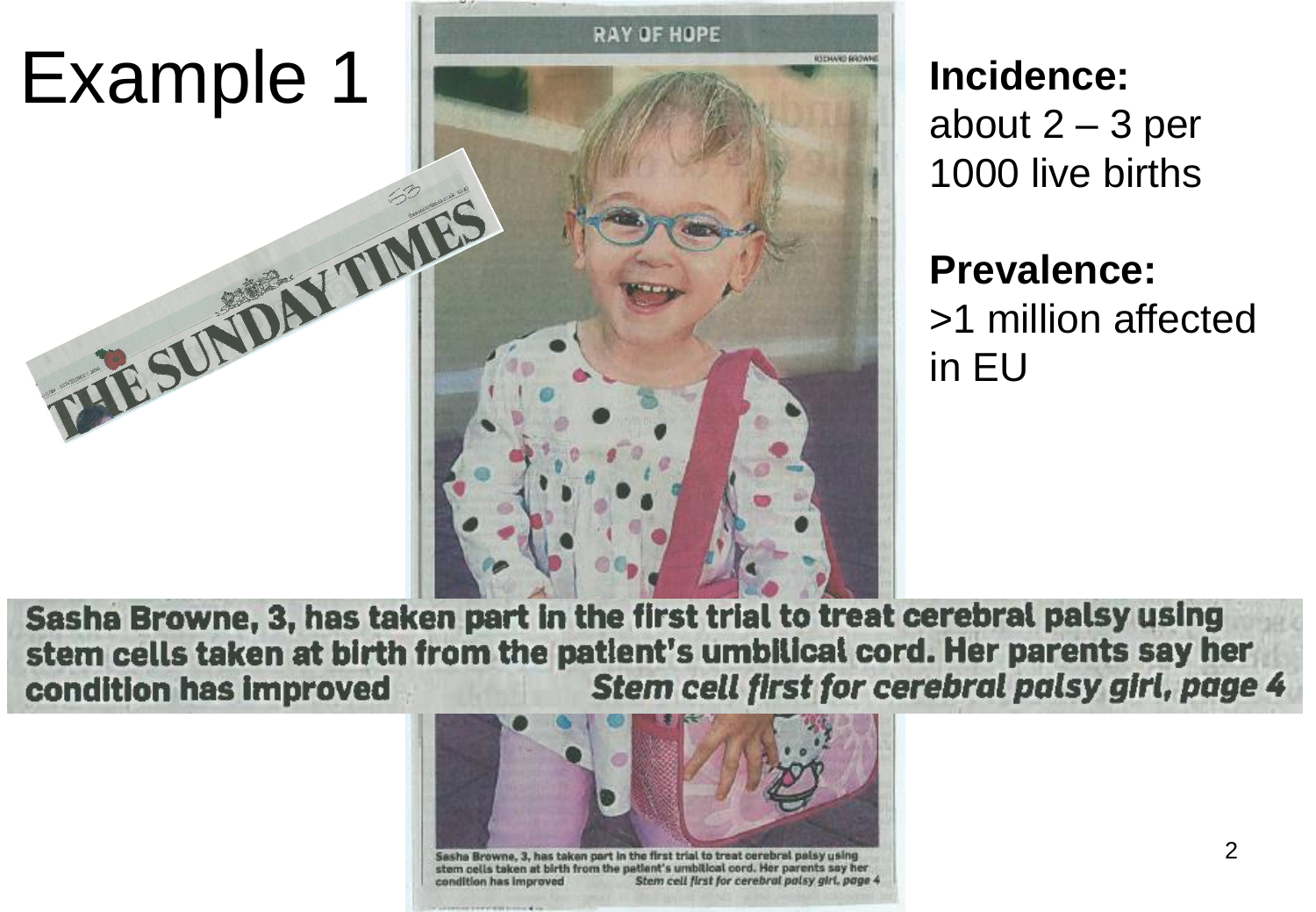

about  $2 - 3$  per 1000 live births

#### **Prevalence:** >1 million affected in EU

Sasha Browne, 3, has taken part in the first trial to treat cerebral palsy using stem cells taken at birth from the patient's umbilical cord. Her parents say her Stem cell first for cerebral palsy girl, page 4 condition has improved



stem cells taken at birth from the patient's umbitical cord. Her parents say her Stem cell first for cerebral palsy girl, page 4 condition has improved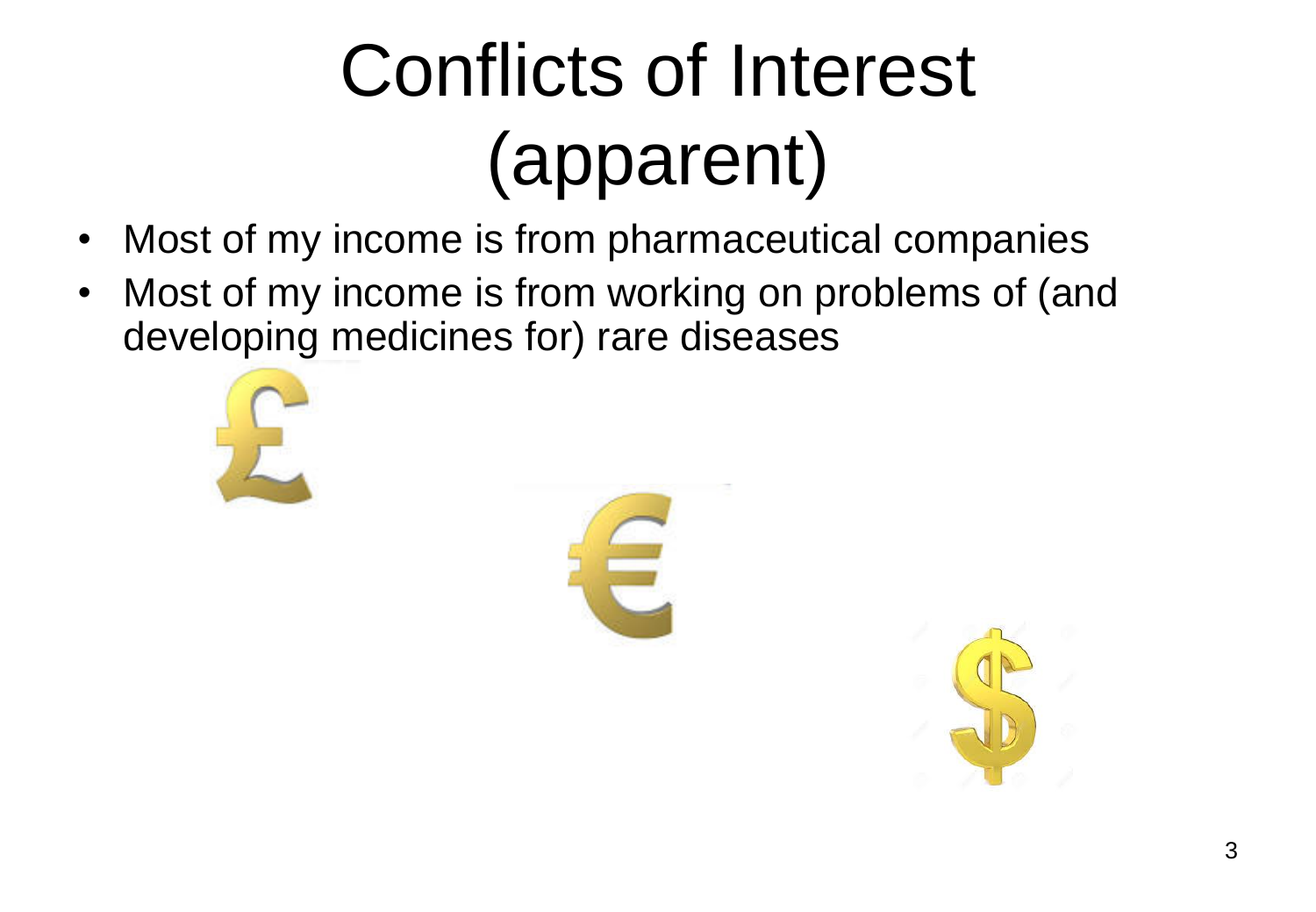## Conflicts of Interest (apparent)

- Most of my income is from pharmaceutical companies
- Most of my income is from working on problems of (and developing medicines for) rare diseases





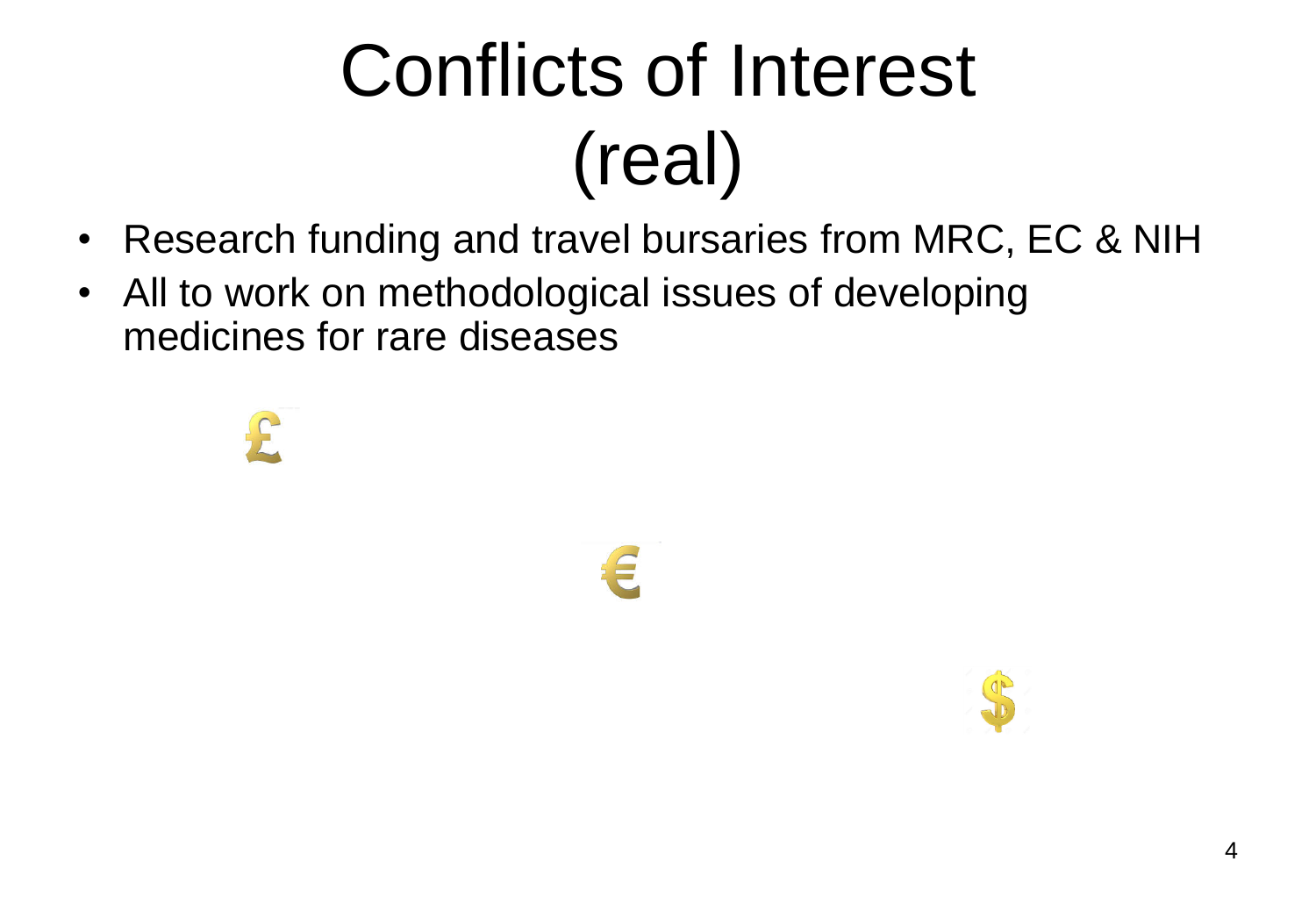# Conflicts of Interest (real)

- Research funding and travel bursaries from MRC, EC & NIH
- All to work on methodological issues of developing medicines for rare diseases

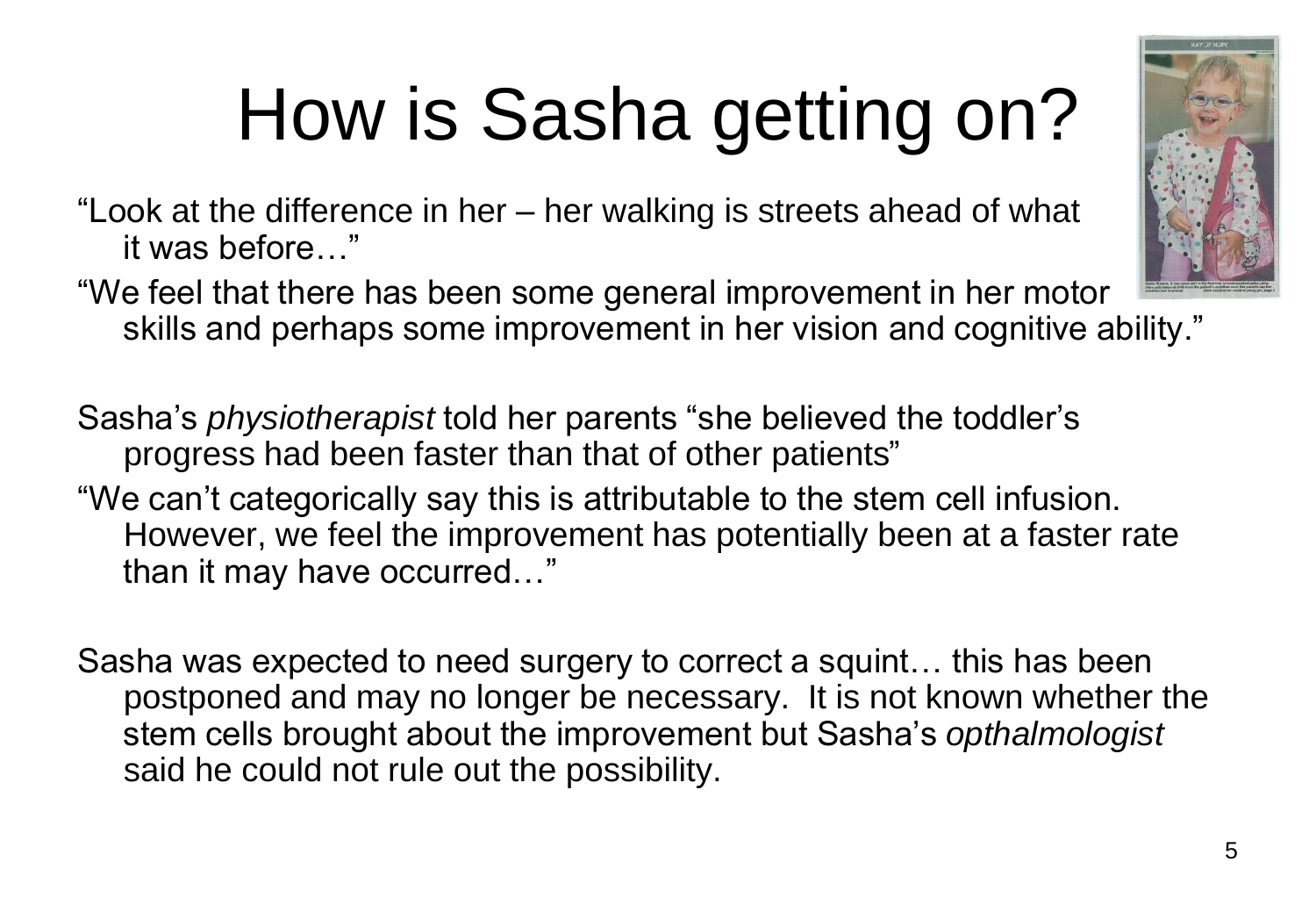# How is Sasha getting on?

"Look at the difference in her – her walking is streets ahead of what it was before…"

"We feel that there has been some general improvement in her motor skills and perhaps some improvement in her vision and cognitive ability."

Sasha's *physiotherapist* told her parents "she believed the toddler's progress had been faster than that of other patients"

"We can't categorically say this is attributable to the stem cell infusion. However, we feel the improvement has potentially been at a faster rate than it may have occurred…"

Sasha was expected to need surgery to correct a squint… this has been postponed and may no longer be necessary. It is not known whether the stem cells brought about the improvement but Sasha's *opthalmologist* said he could not rule out the possibility.

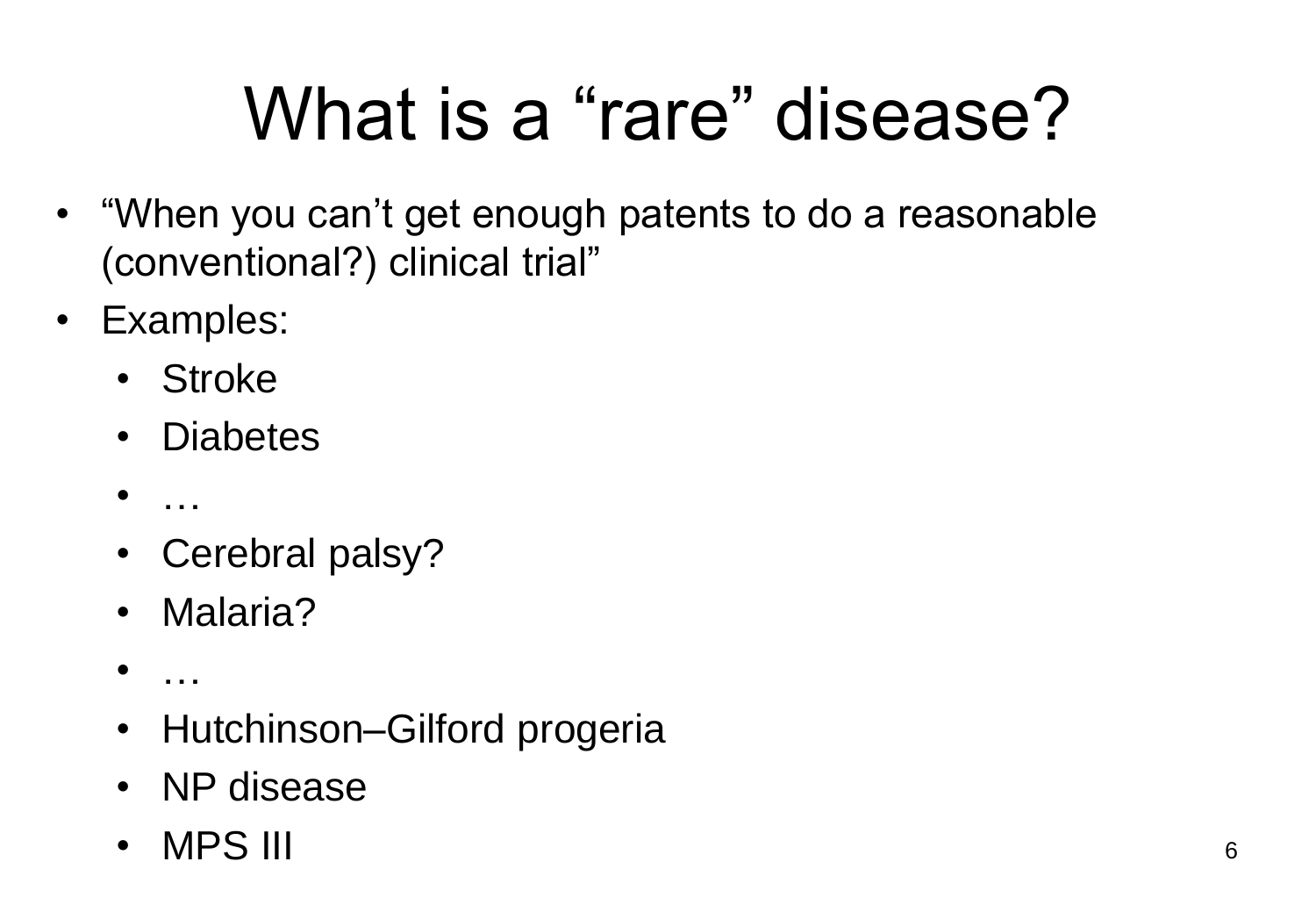## What is a "rare" disease?

- "When you can't get enough patents to do a reasonable (conventional?) clinical trial"
- Examples:
	- Stroke
	- Diabetes
	- $\mathbf{r}$  .
	- Cerebral palsy?
	- Malaria?
	- …
	- Hutchinson–Gilford progeria
	- NP disease
	- MPS III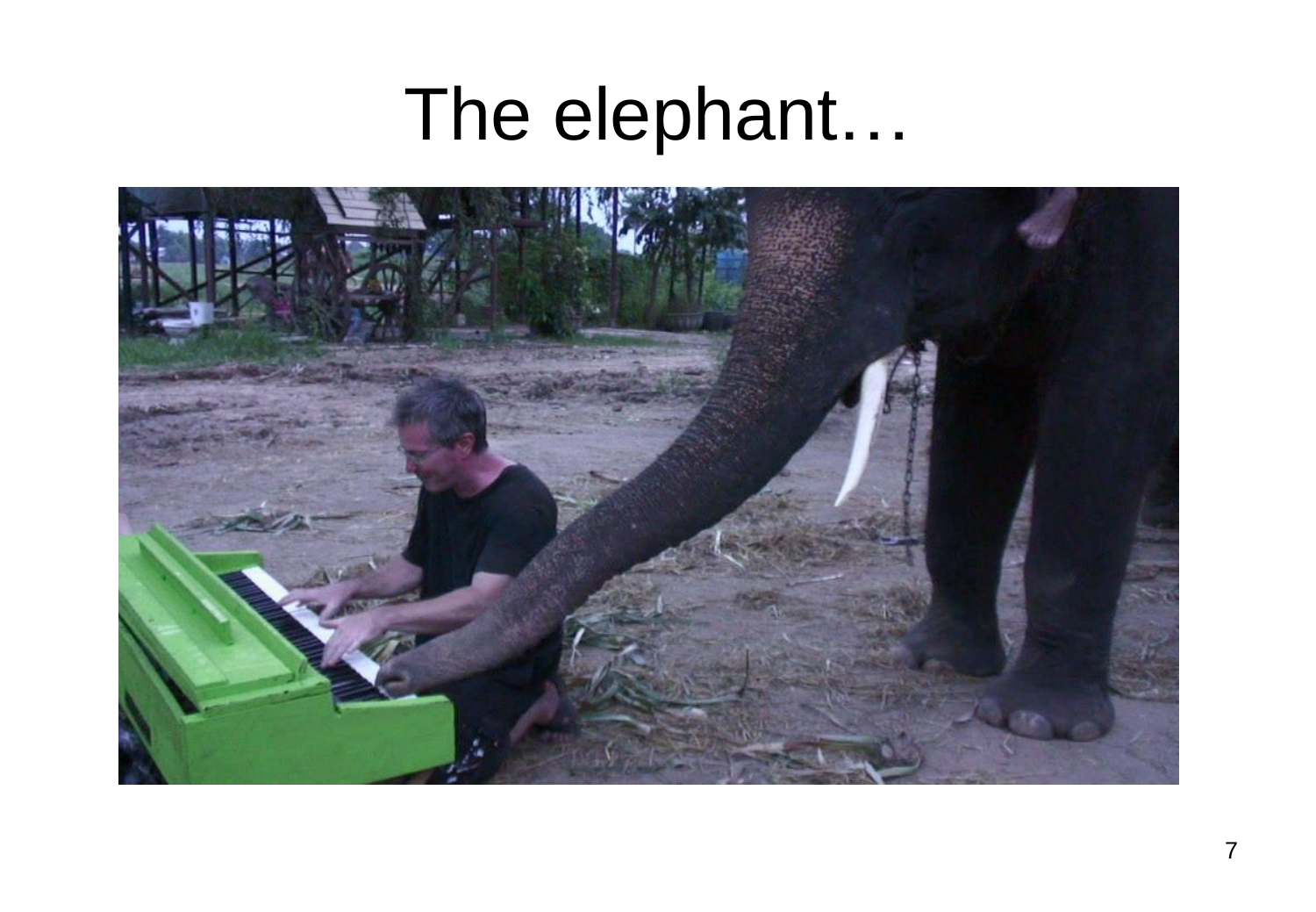## The elephant…

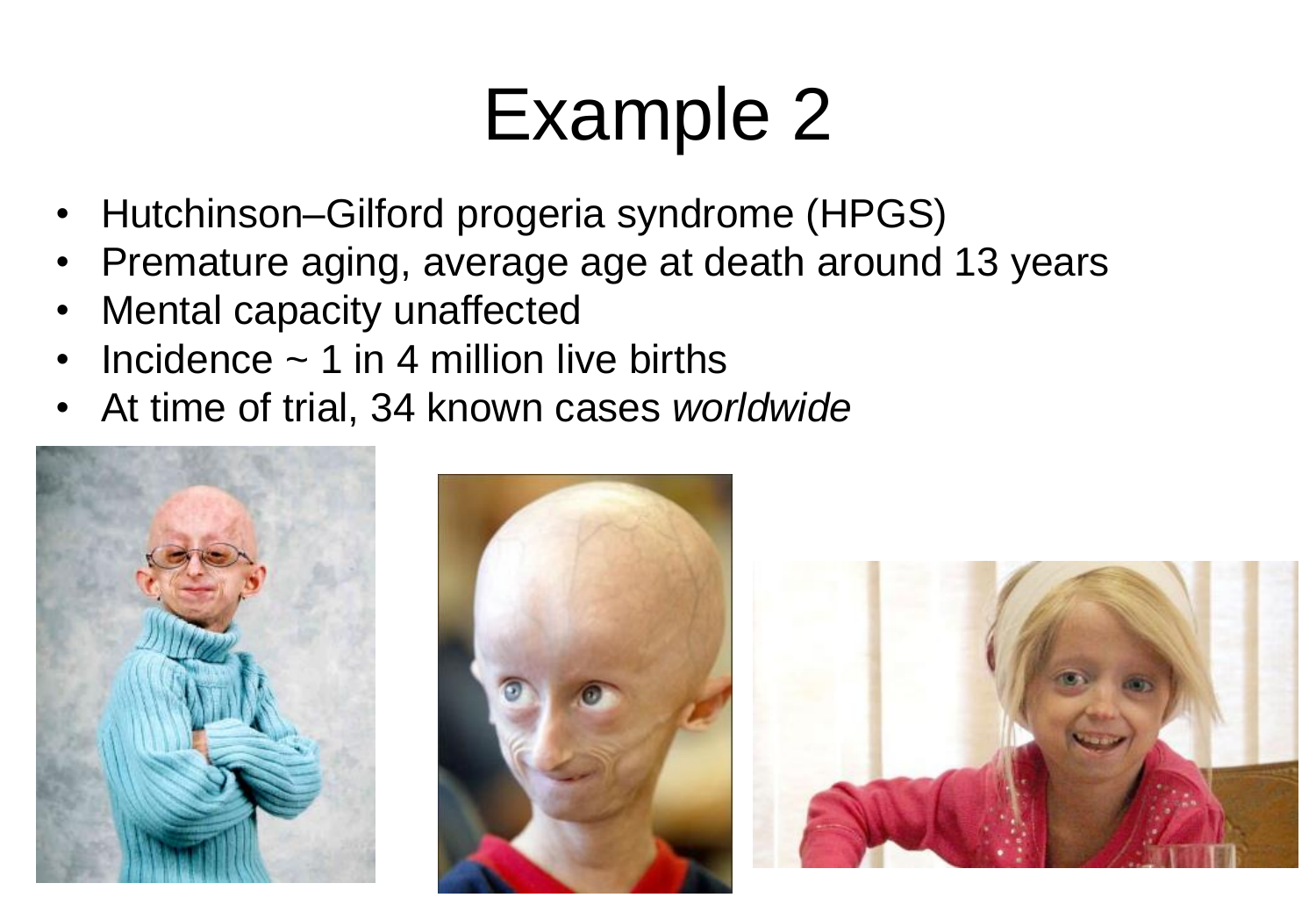- Hutchinson–Gilford progeria syndrome (HPGS)
- Premature aging, average age at death around 13 years
- Mental capacity unaffected
- Incidence  $\sim$  1 in 4 million live births
- At time of trial, 34 known cases *worldwide*





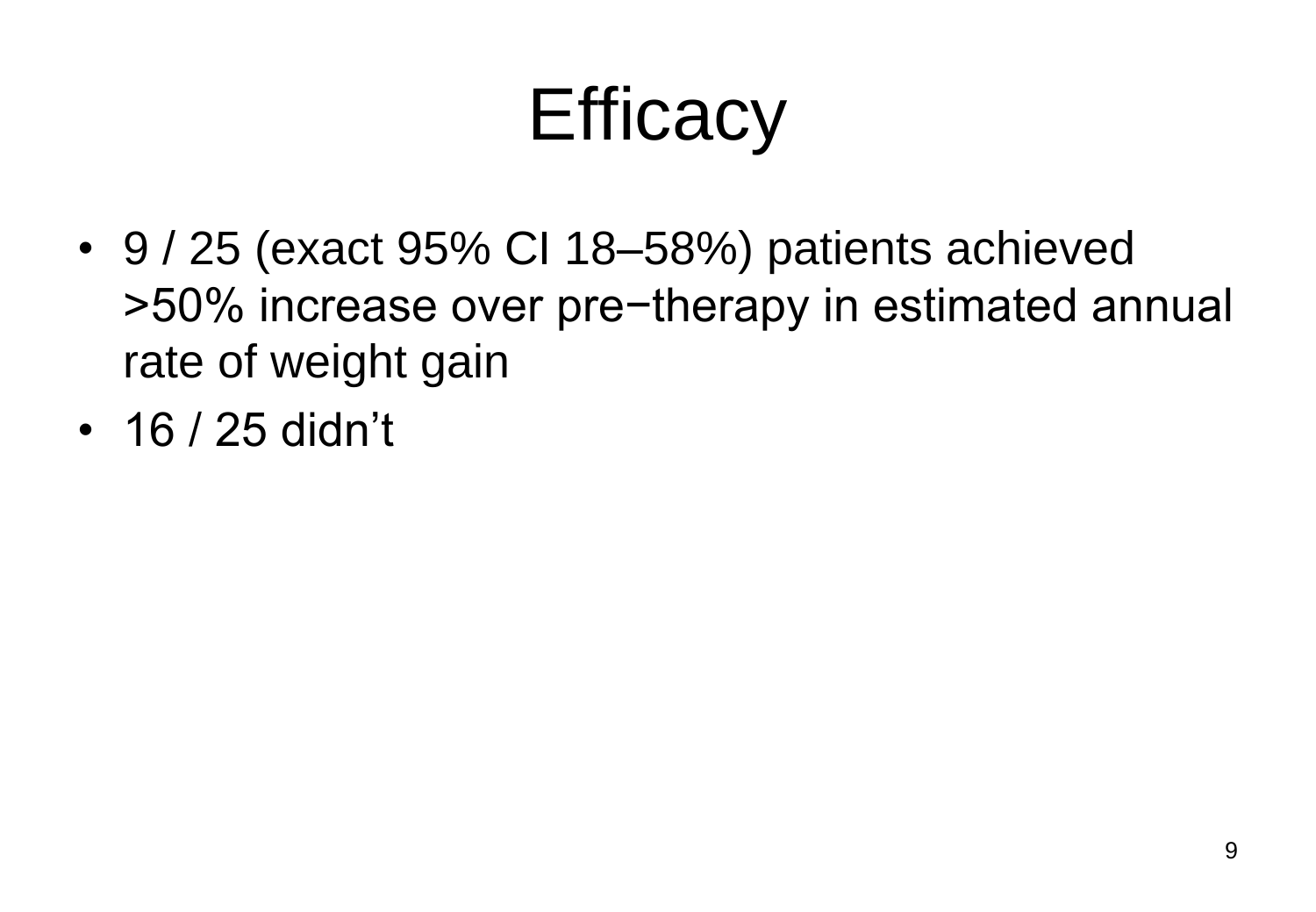## **Efficacy**

- 9 / 25 (exact 95% CI 18–58%) patients achieved >50% increase over pre−therapy in estimated annual rate of weight gain
- 16 / 25 didn't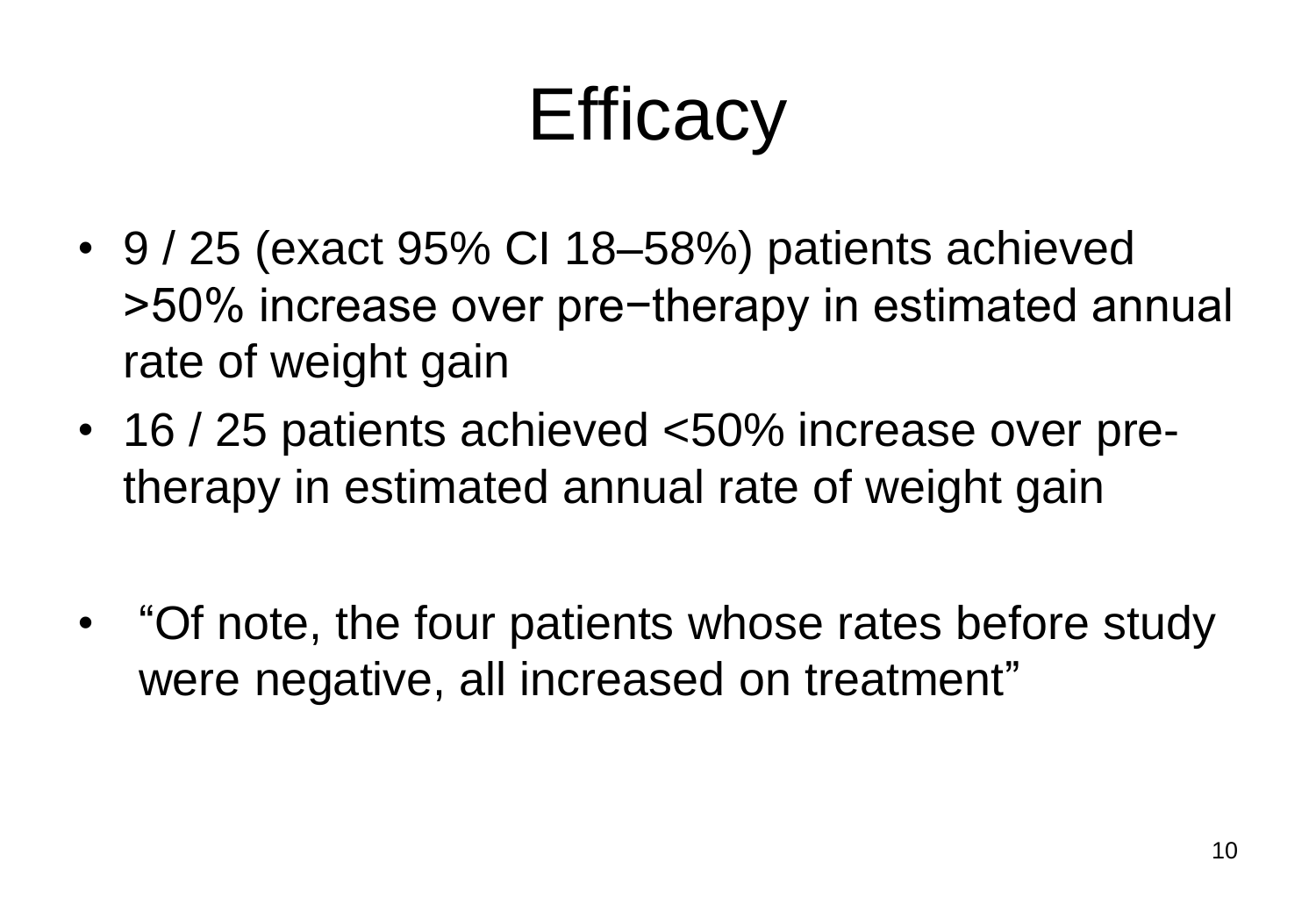## **Efficacy**

- 9 / 25 (exact 95% CI 18–58%) patients achieved >50% increase over pre−therapy in estimated annual rate of weight gain
- 16 / 25 patients achieved <50% increase over pretherapy in estimated annual rate of weight gain
- "Of note, the four patients whose rates before study were negative, all increased on treatment"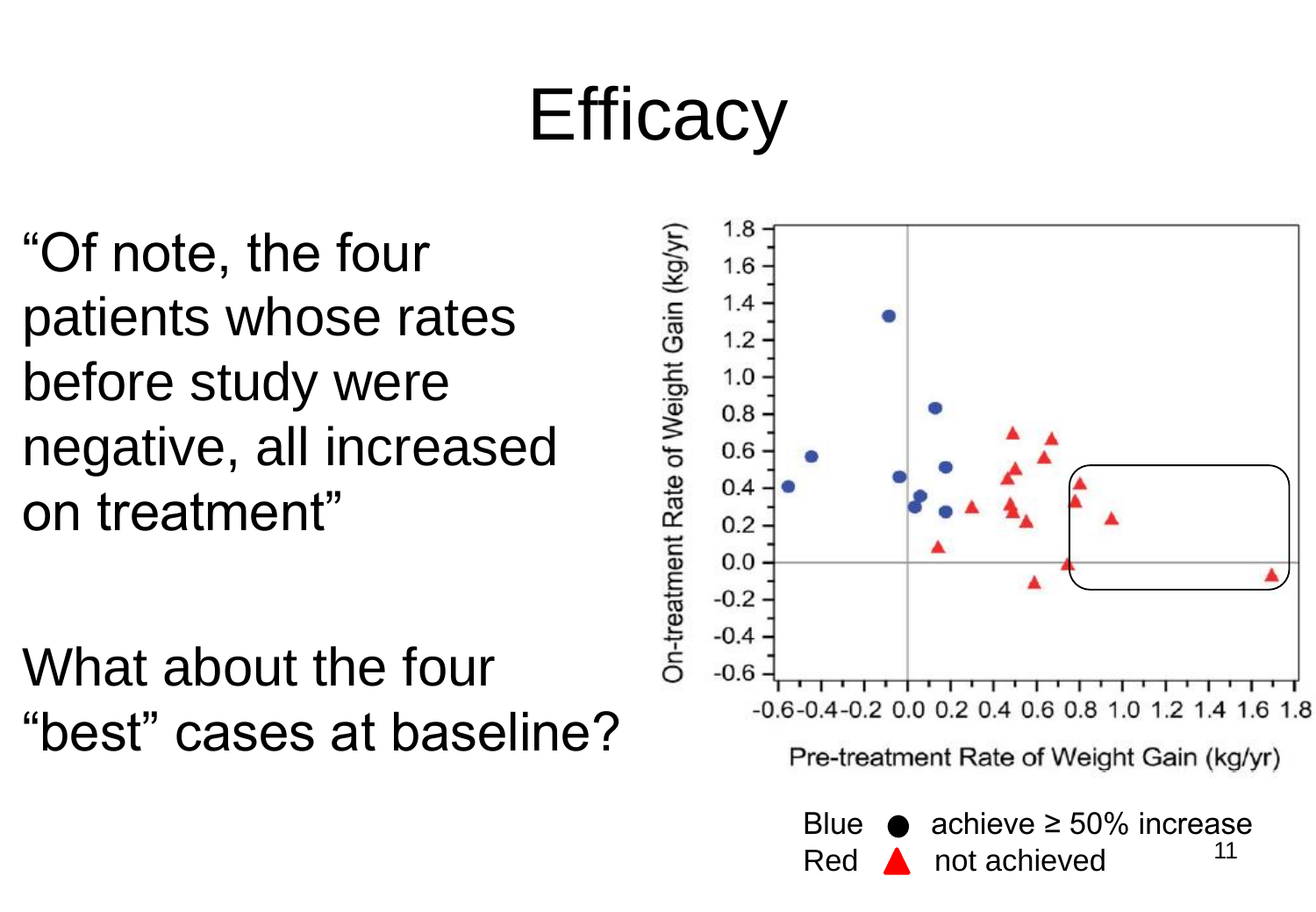#### **Efficacy**

"Of note, the four patients whose rates before study were negative, all increased on treatment"

What about the four "best" cases at baseline?

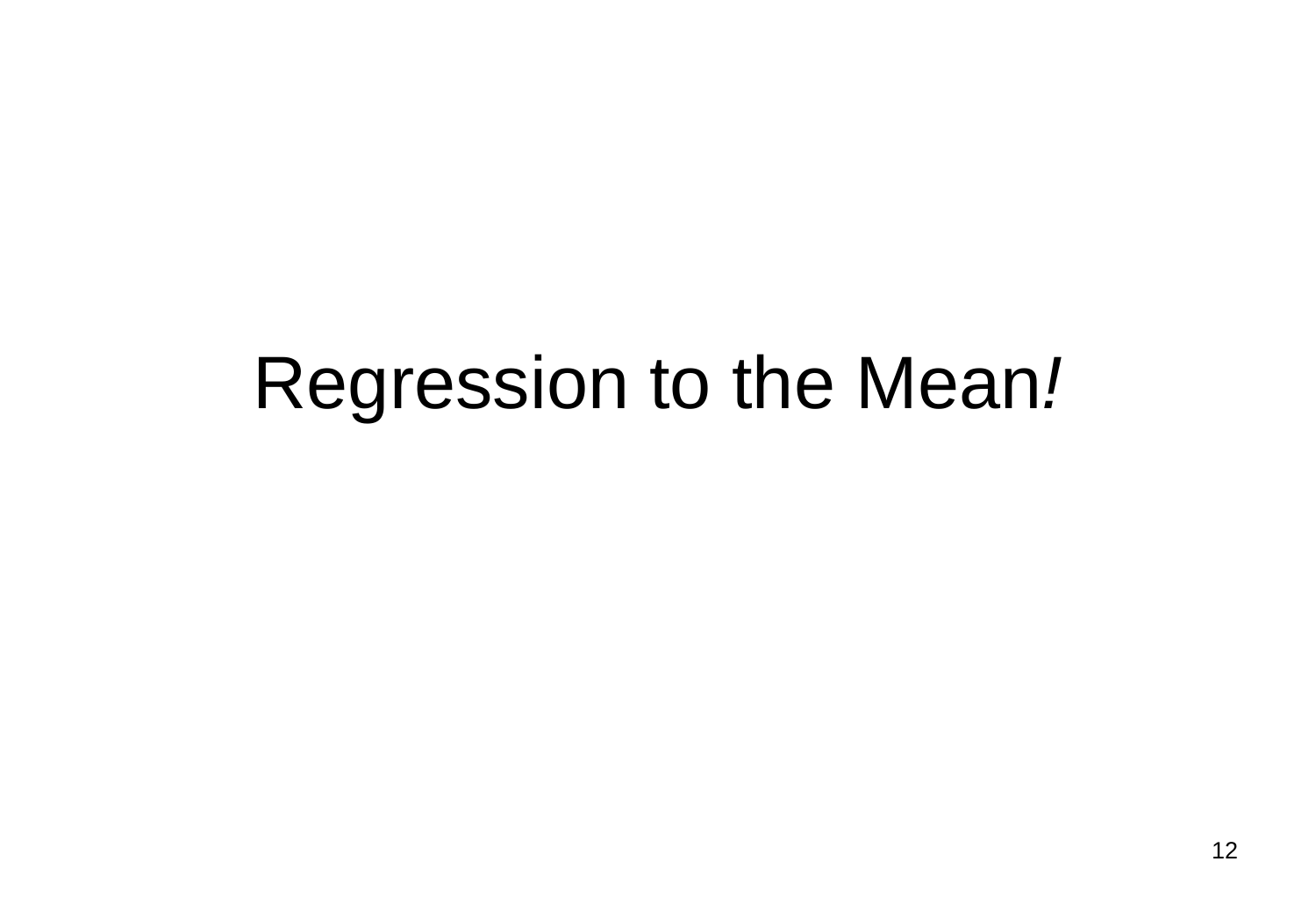#### Regression to the Mean*!*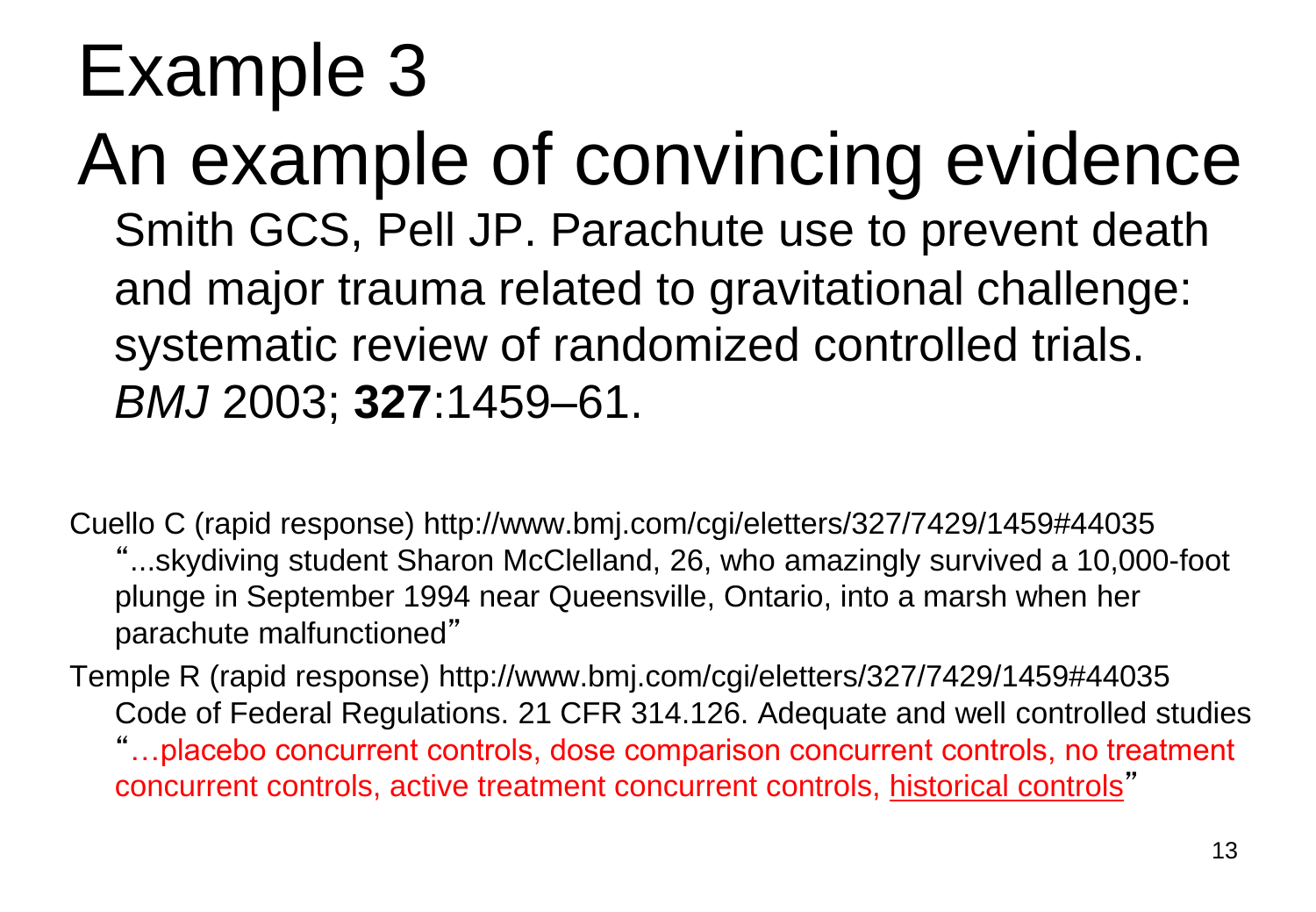An example of convincing evidence Smith GCS, Pell JP. Parachute use to prevent death and major trauma related to gravitational challenge: systematic review of randomized controlled trials. *BMJ* 2003; **327**:1459–61.

Cuello C (rapid response) http://www.bmj.com/cgi/eletters/327/7429/1459#44035 "...skydiving student Sharon McClelland, 26, who amazingly survived a 10,000-foot plunge in September 1994 near Queensville, Ontario, into a marsh when her parachute malfunctioned"

Temple R (rapid response) http://www.bmj.com/cgi/eletters/327/7429/1459#44035 Code of Federal Regulations. 21 CFR 314.126. Adequate and well controlled studies "…placebo concurrent controls, dose comparison concurrent controls, no treatment concurrent controls, active treatment concurrent controls, historical controls"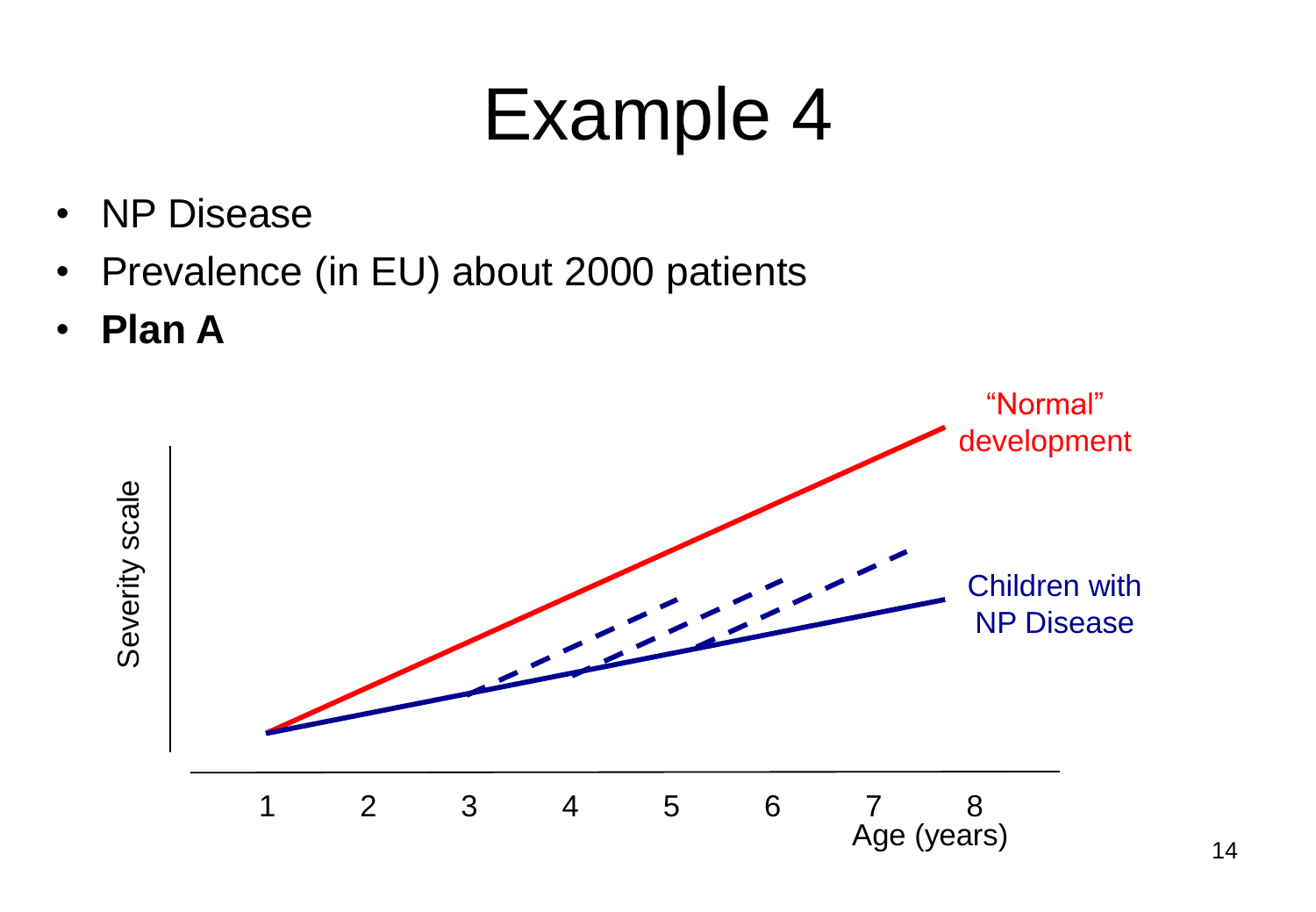- NP Disease
- Prevalence (in EU) about 2000 patients
- **Plan A**

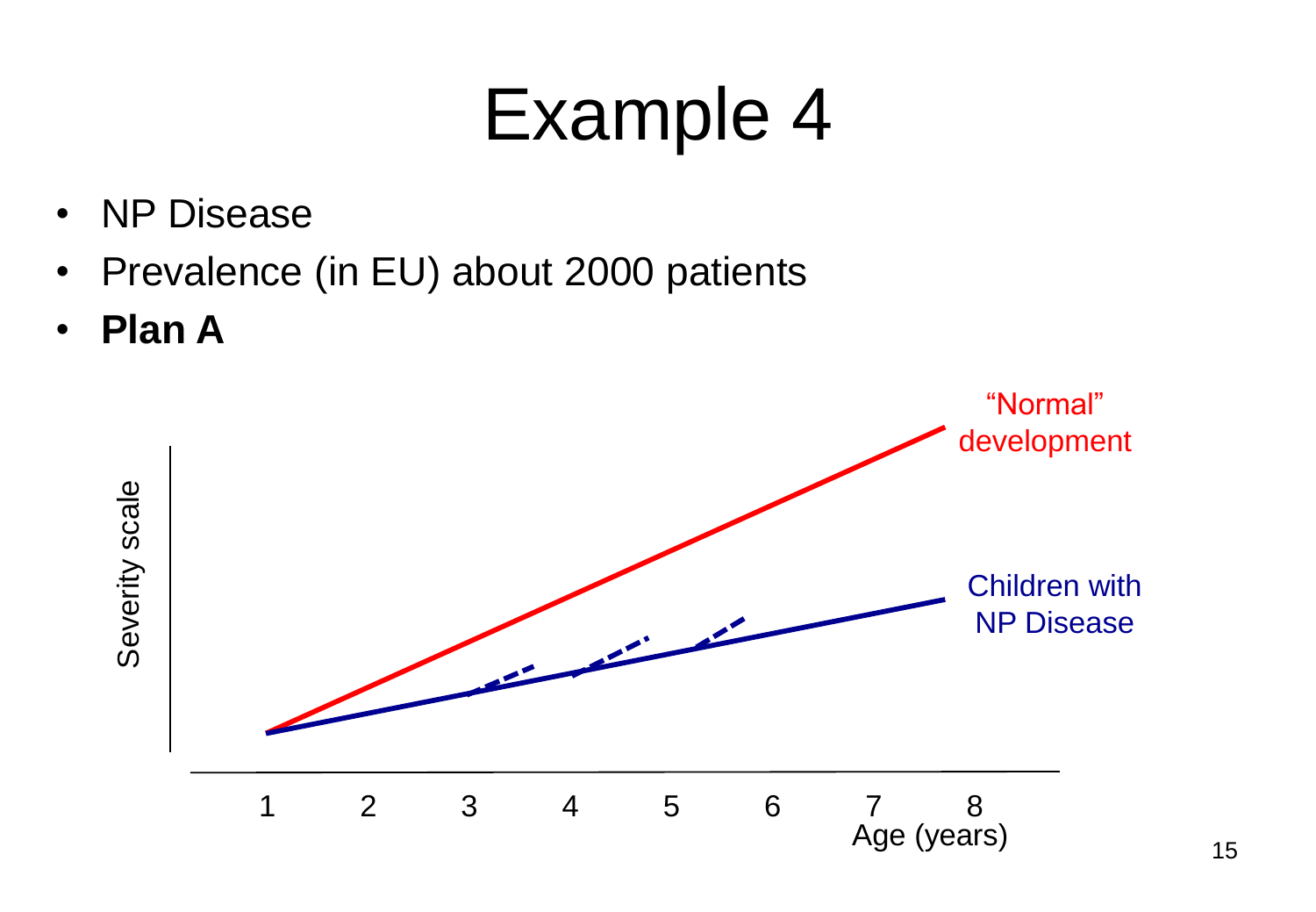- NP Disease
- Prevalence (in EU) about 2000 patients
- **Plan A**

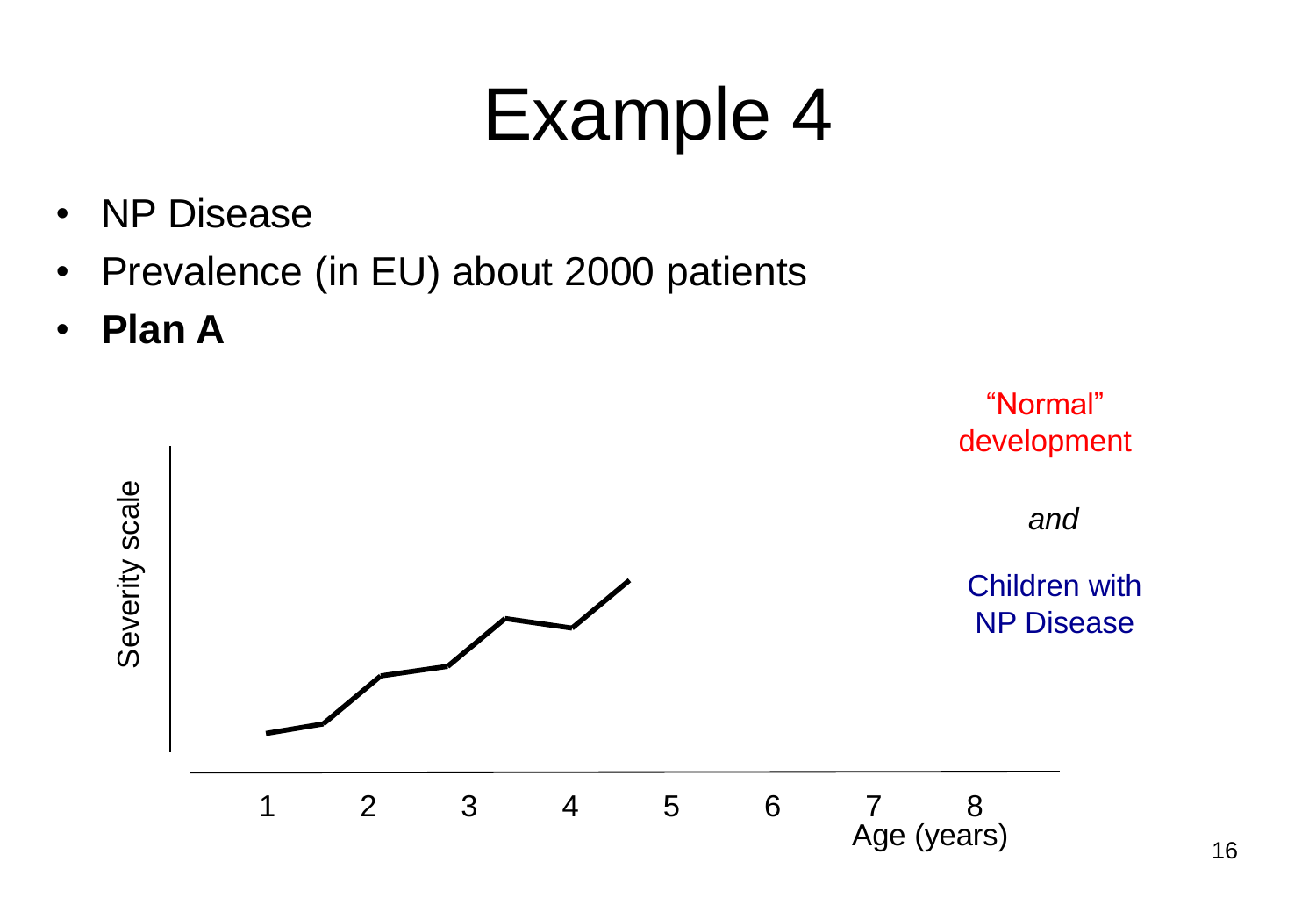- NP Disease
- Prevalence (in EU) about 2000 patients
- **Plan A**

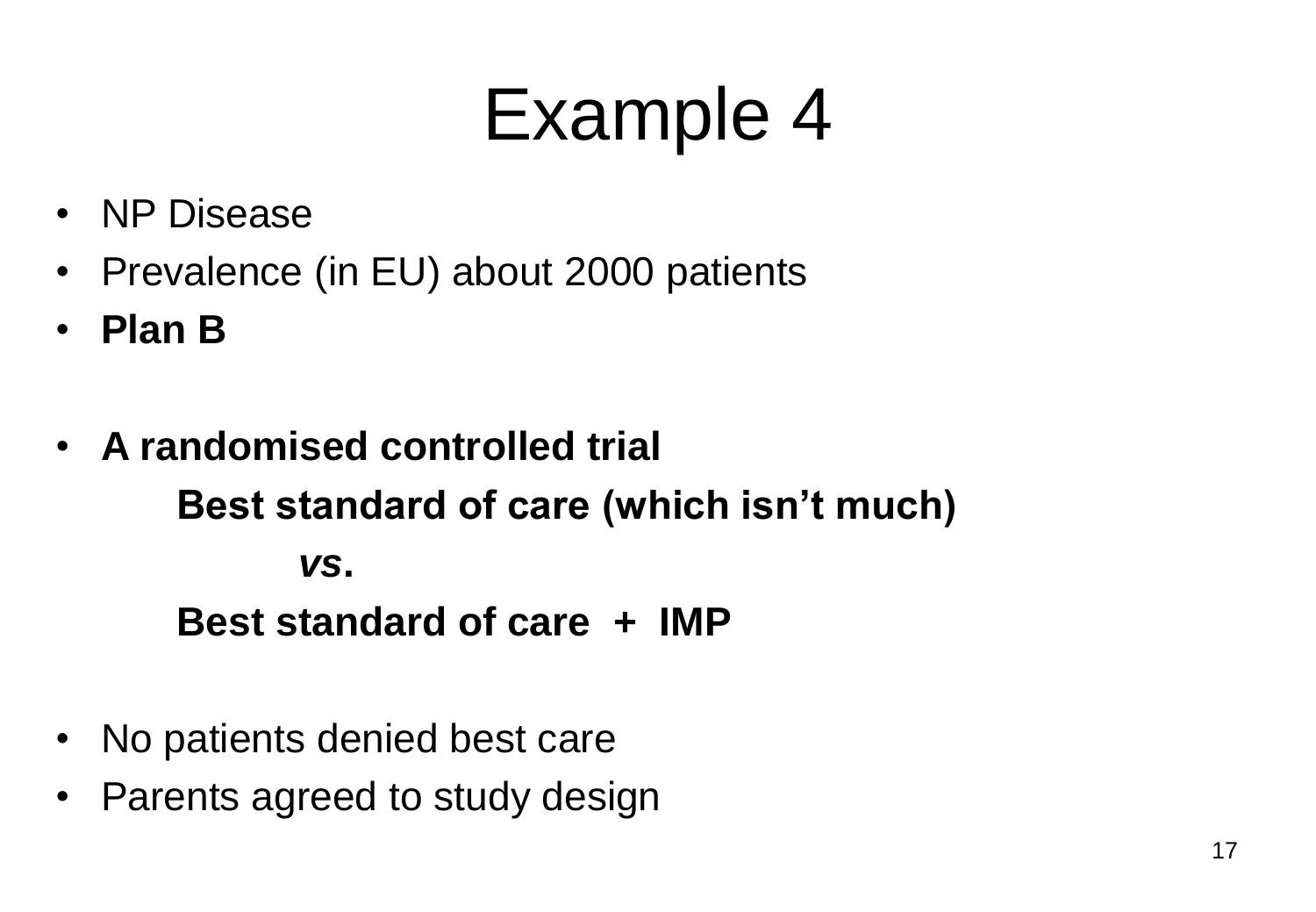- NP Disease
- Prevalence (in EU) about 2000 patients
- **Plan B**
- **A randomised controlled trial Best standard of care (which isn't much)** *vs***. Best standard of care + IMP**
- No patients denied best care
- Parents agreed to study design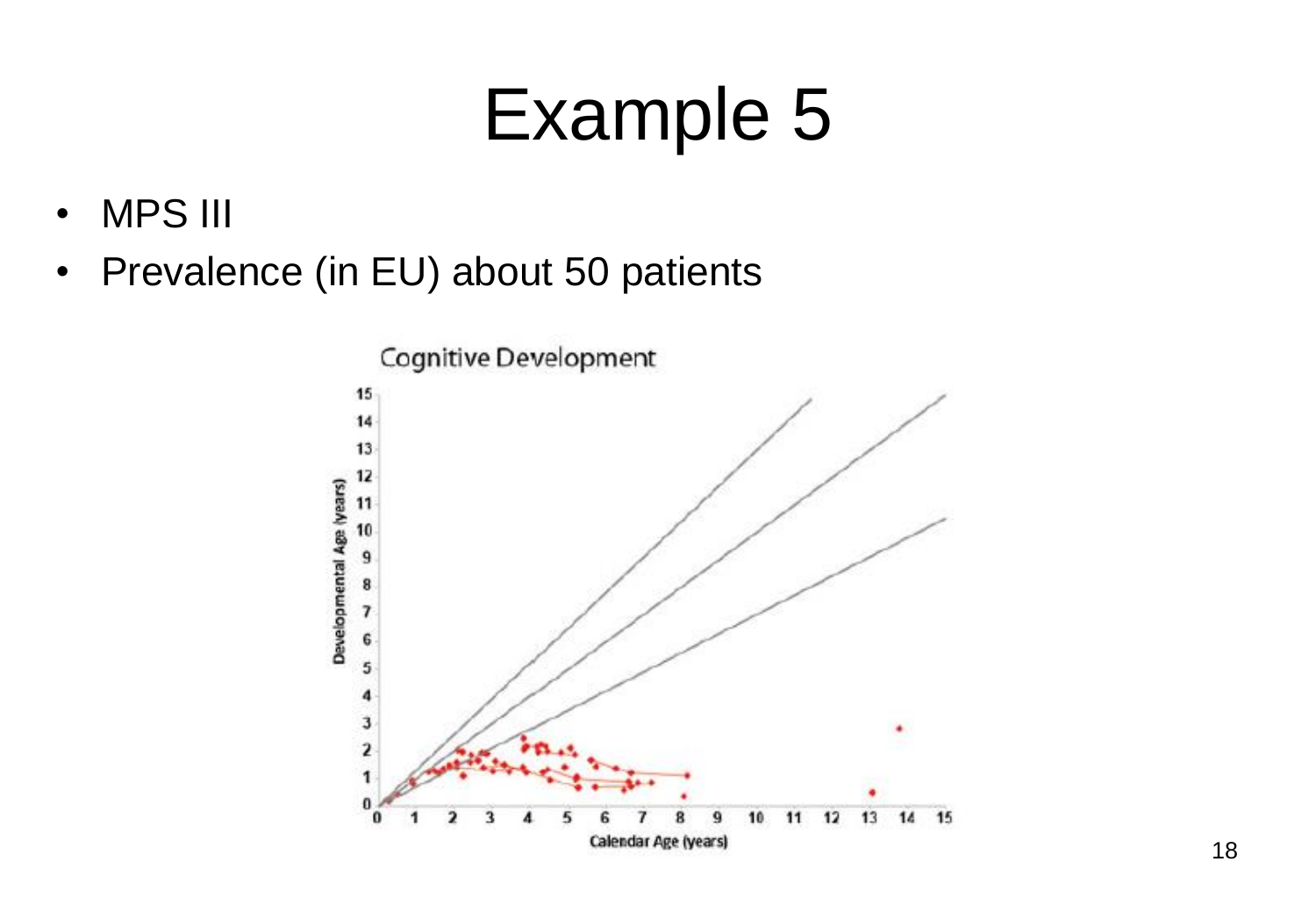- MPS III
- Prevalence (in EU) about 50 patients

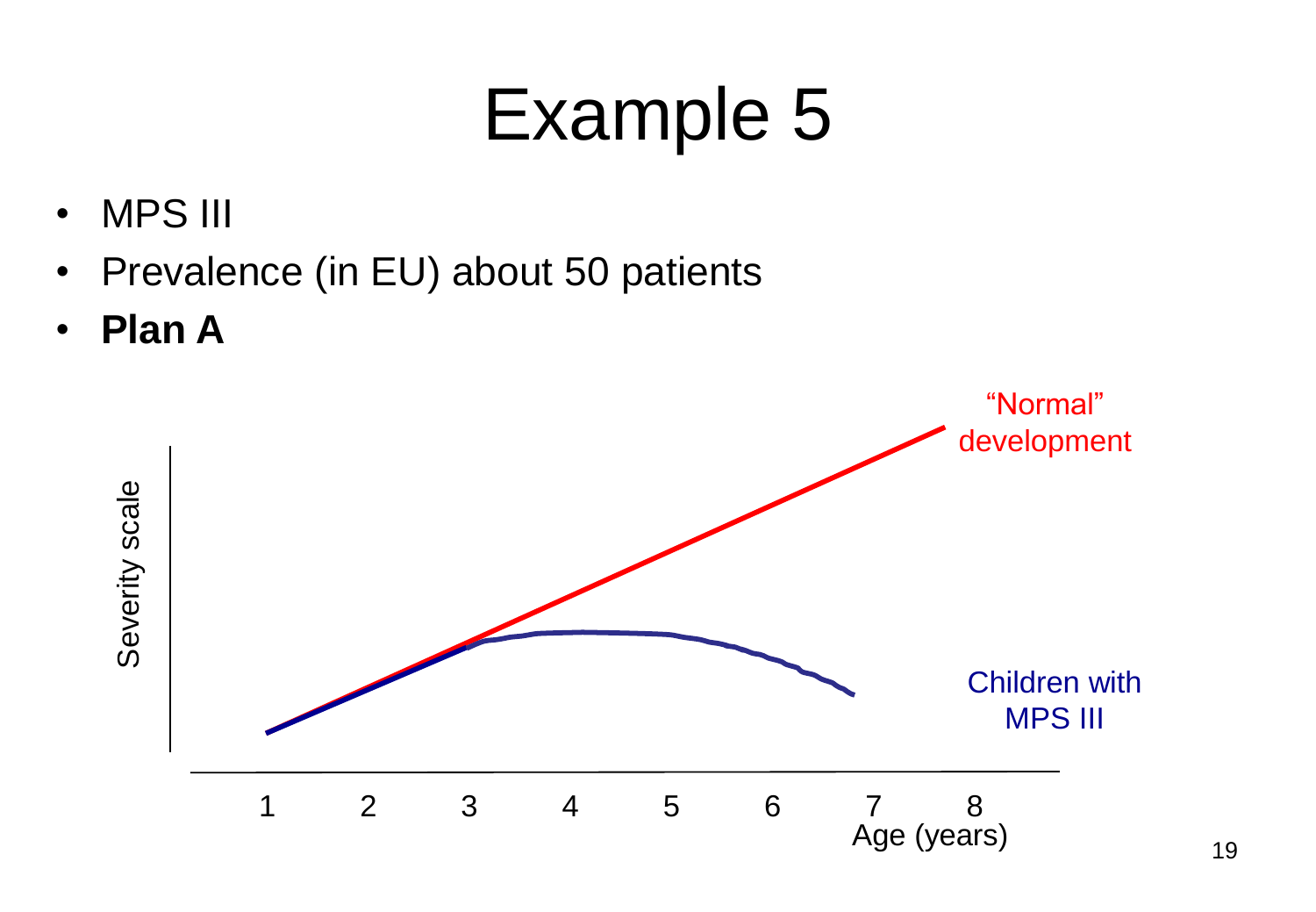- MPS III
- Prevalence (in EU) about 50 patients
- **Plan A**

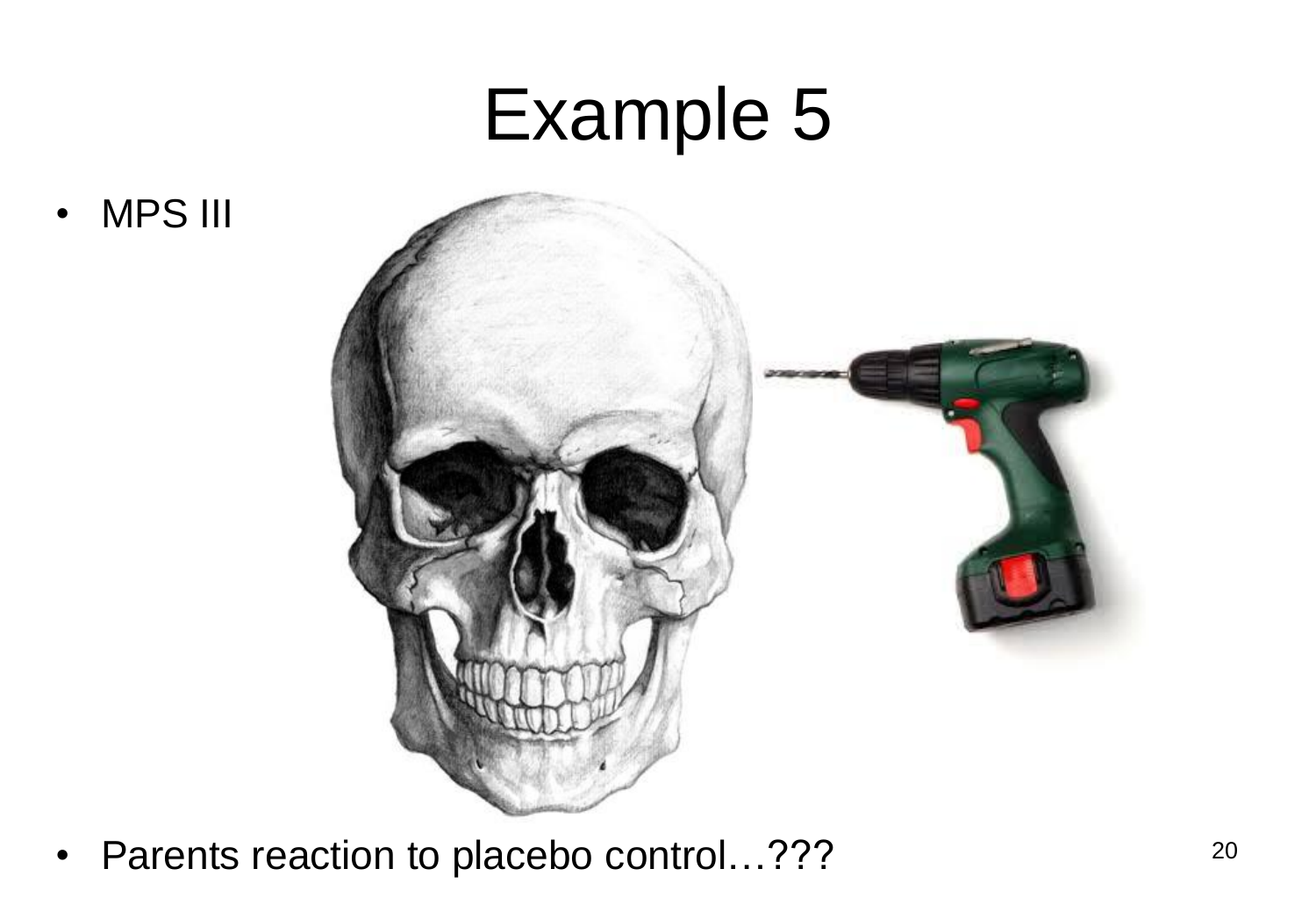• MPS III



• Parents reaction to placebo control...???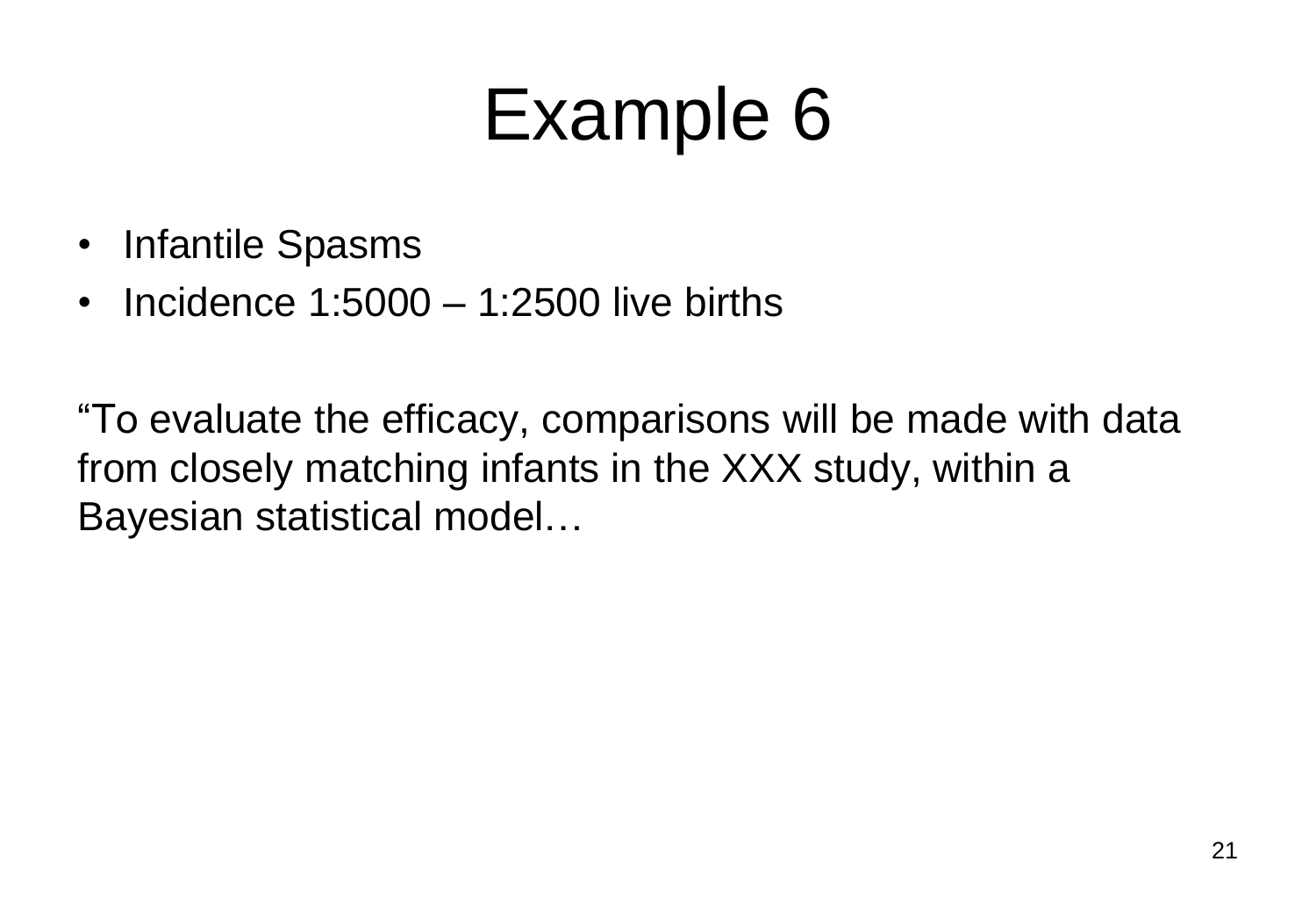- Infantile Spasms
- Incidence  $1:5000 1:2500$  live births

"To evaluate the efficacy, comparisons will be made with data from closely matching infants in the XXX study, within a Bayesian statistical model…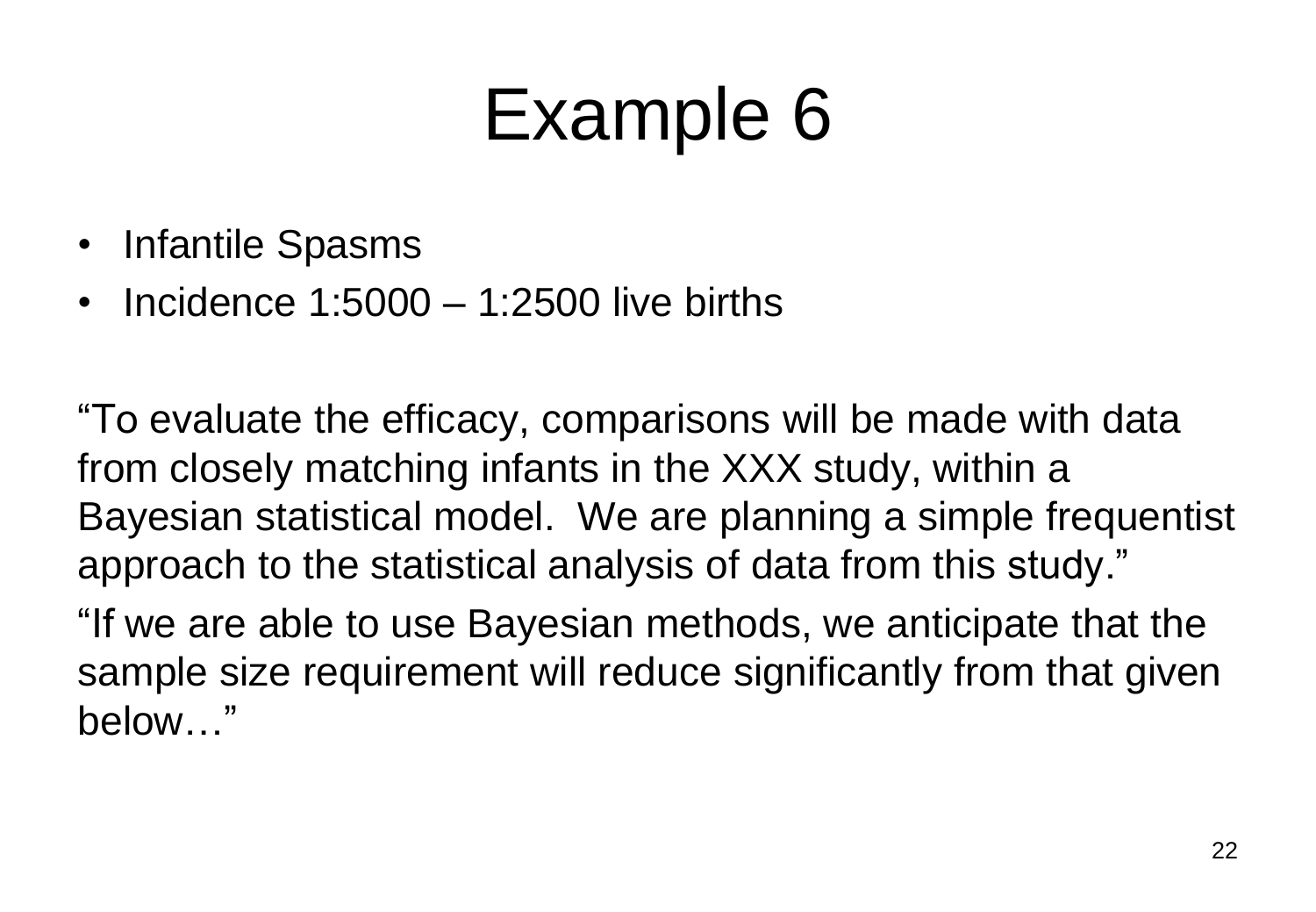- Infantile Spasms
- Incidence 1:5000 1:2500 live births

"To evaluate the efficacy, comparisons will be made with data from closely matching infants in the XXX study, within a Bayesian statistical model. We are planning a simple frequentist approach to the statistical analysis of data from this study."

"If we are able to use Bayesian methods, we anticipate that the sample size requirement will reduce significantly from that given below…"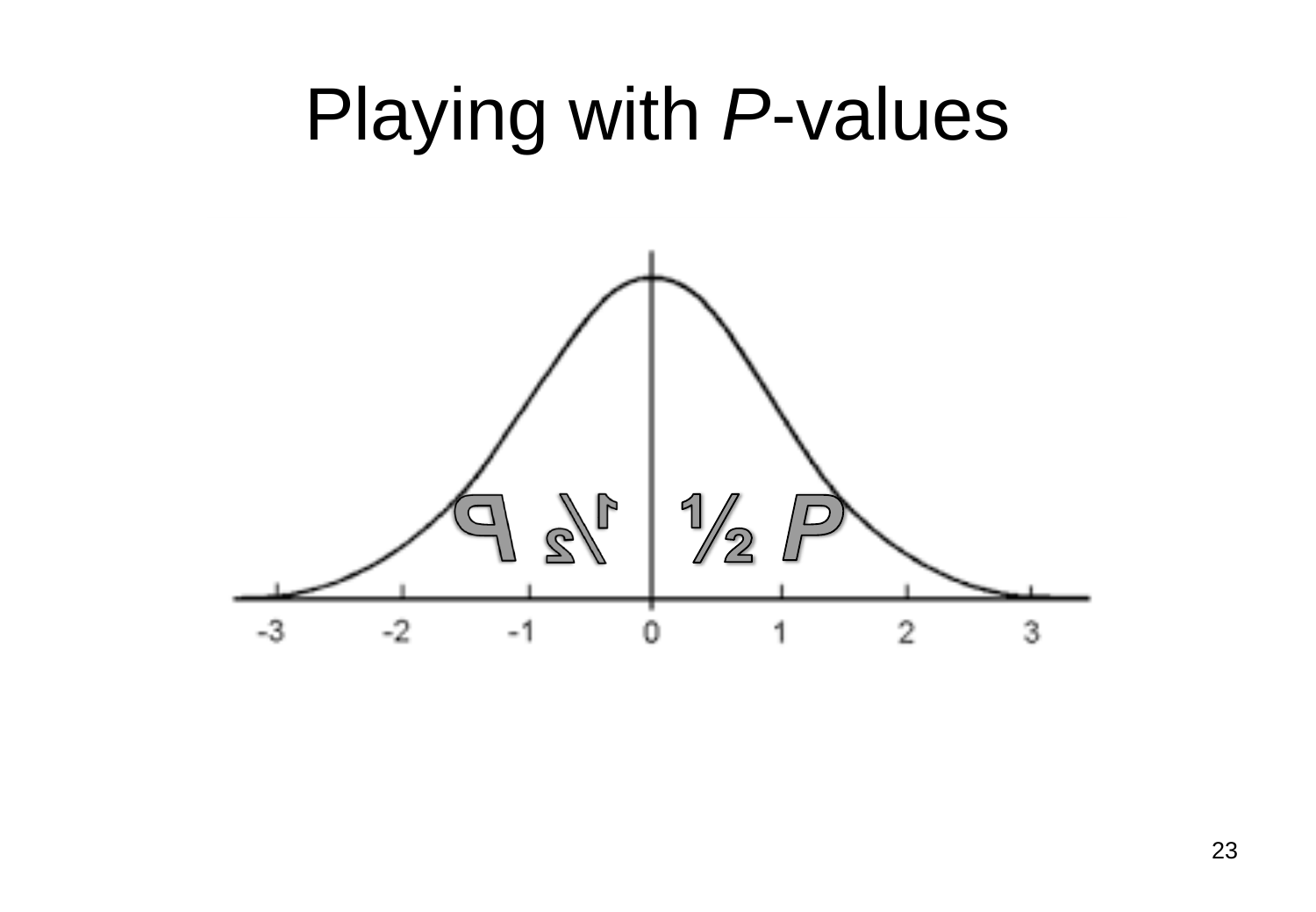#### Playing with *P*-values

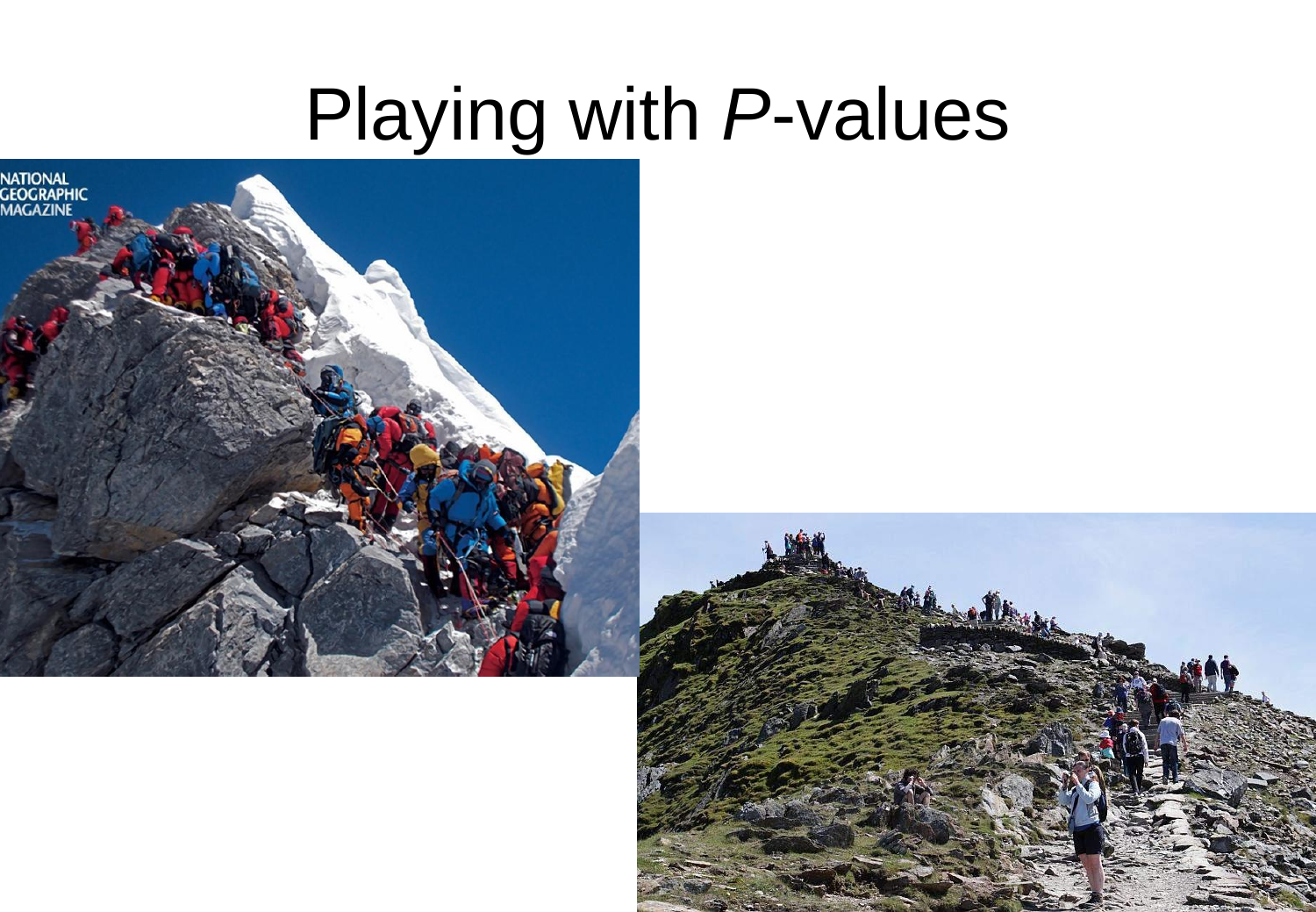#### Playing with *P*-values



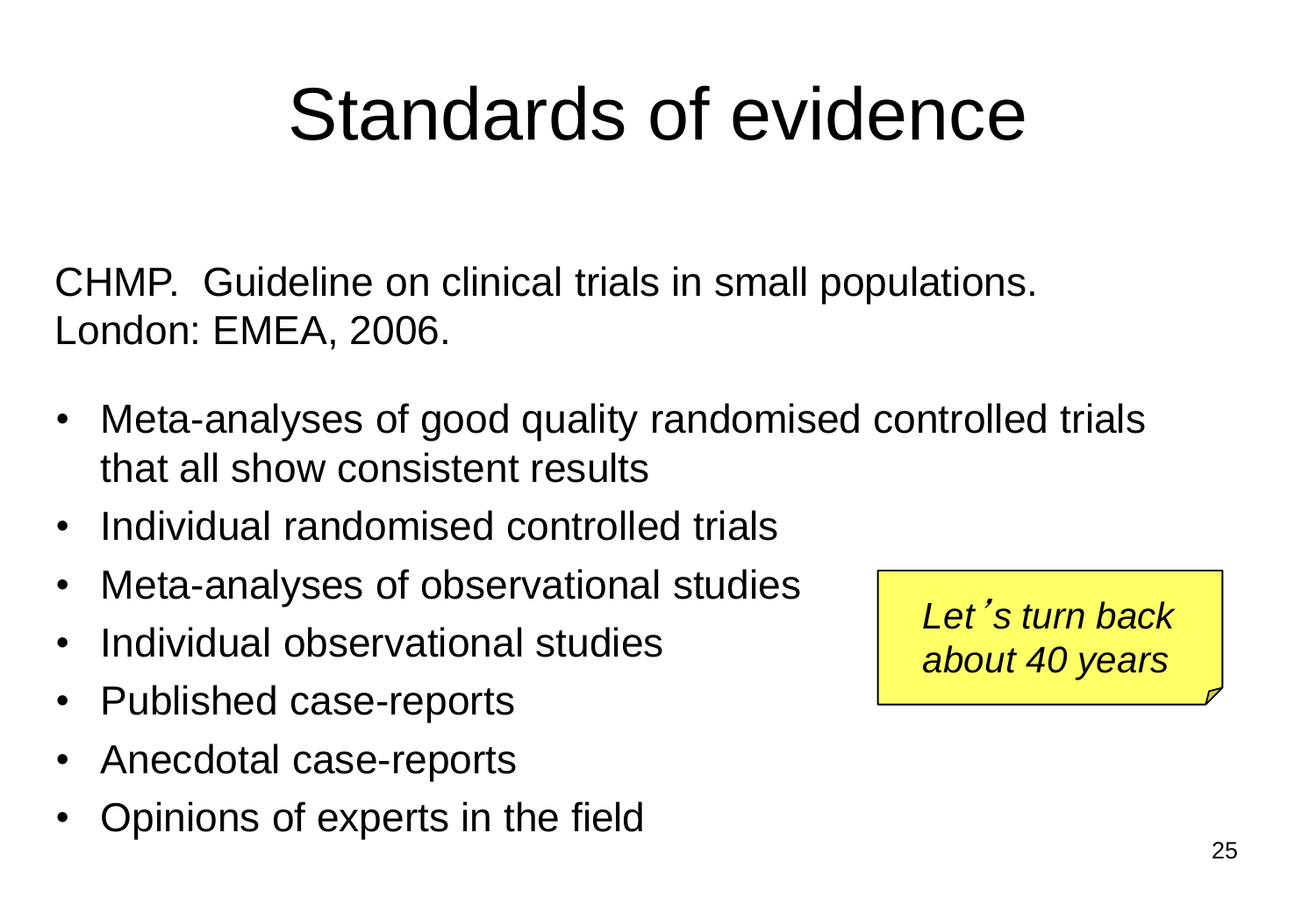## Standards of evidence

CHMP. Guideline on clinical trials in small populations. London: EMEA, 2006.

- Meta-analyses of good quality randomised controlled trials that all show consistent results
- Individual randomised controlled trials
- Meta-analyses of observational studies
- Individual observational studies
- Published case-reports
- Anecdotal case-reports
- Opinions of experts in the field

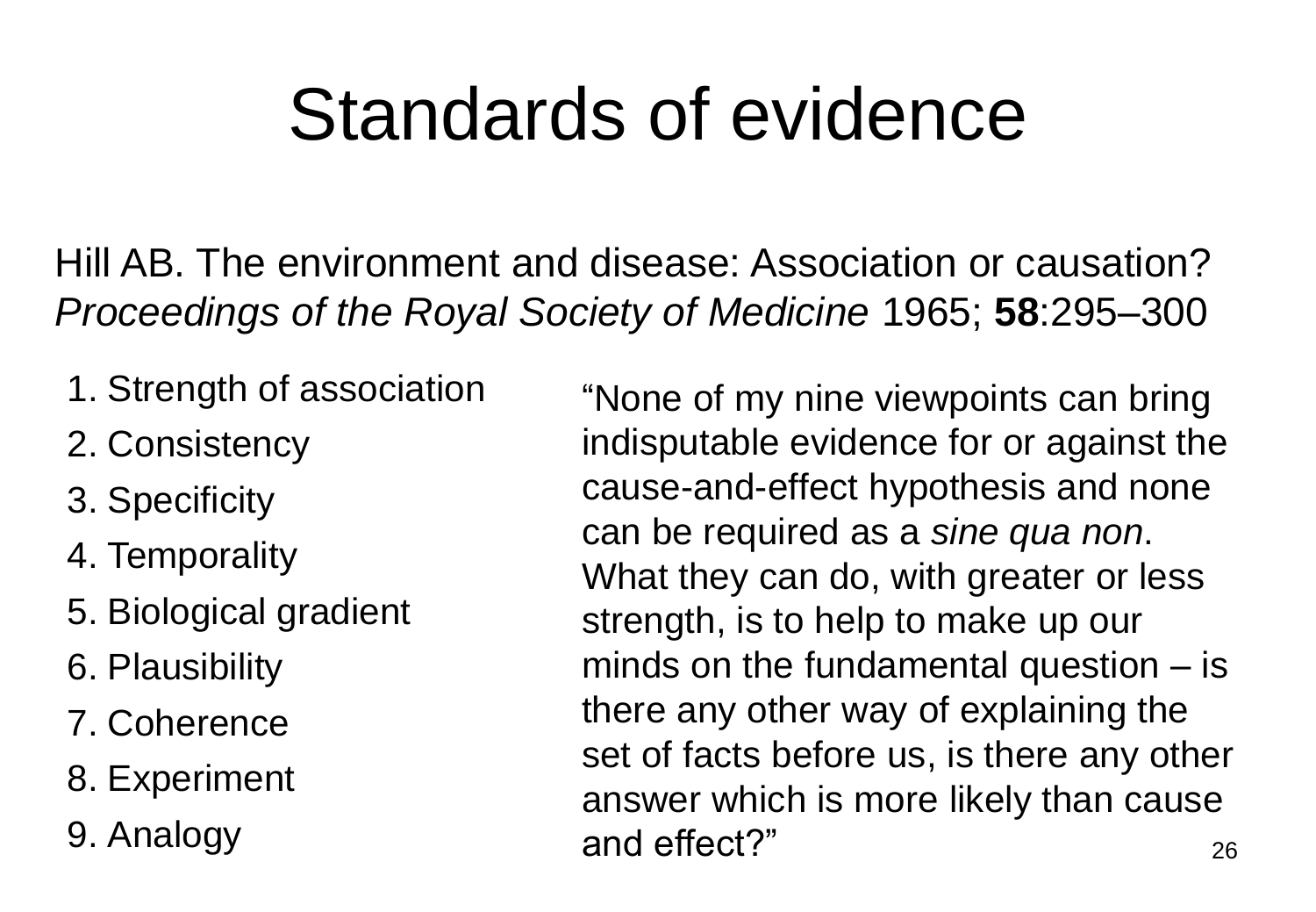## Standards of evidence

Hill AB. The environment and disease: Association or causation? *Proceedings of the Royal Society of Medicine* 1965; **58**:295–300

- 1. Strength of association
- 2. Consistency
- 3. Specificity
- 4. Temporality
- 5. Biological gradient
- 6. Plausibility
- 7. Coherence
- 8. Experiment
- 9. Analogy

26 "None of my nine viewpoints can bring indisputable evidence for or against the cause-and-effect hypothesis and none can be required as a *sine qua non*. What they can do, with greater or less strength, is to help to make up our minds on the fundamental question – is there any other way of explaining the set of facts before us, is there any other answer which is more likely than cause and effect?"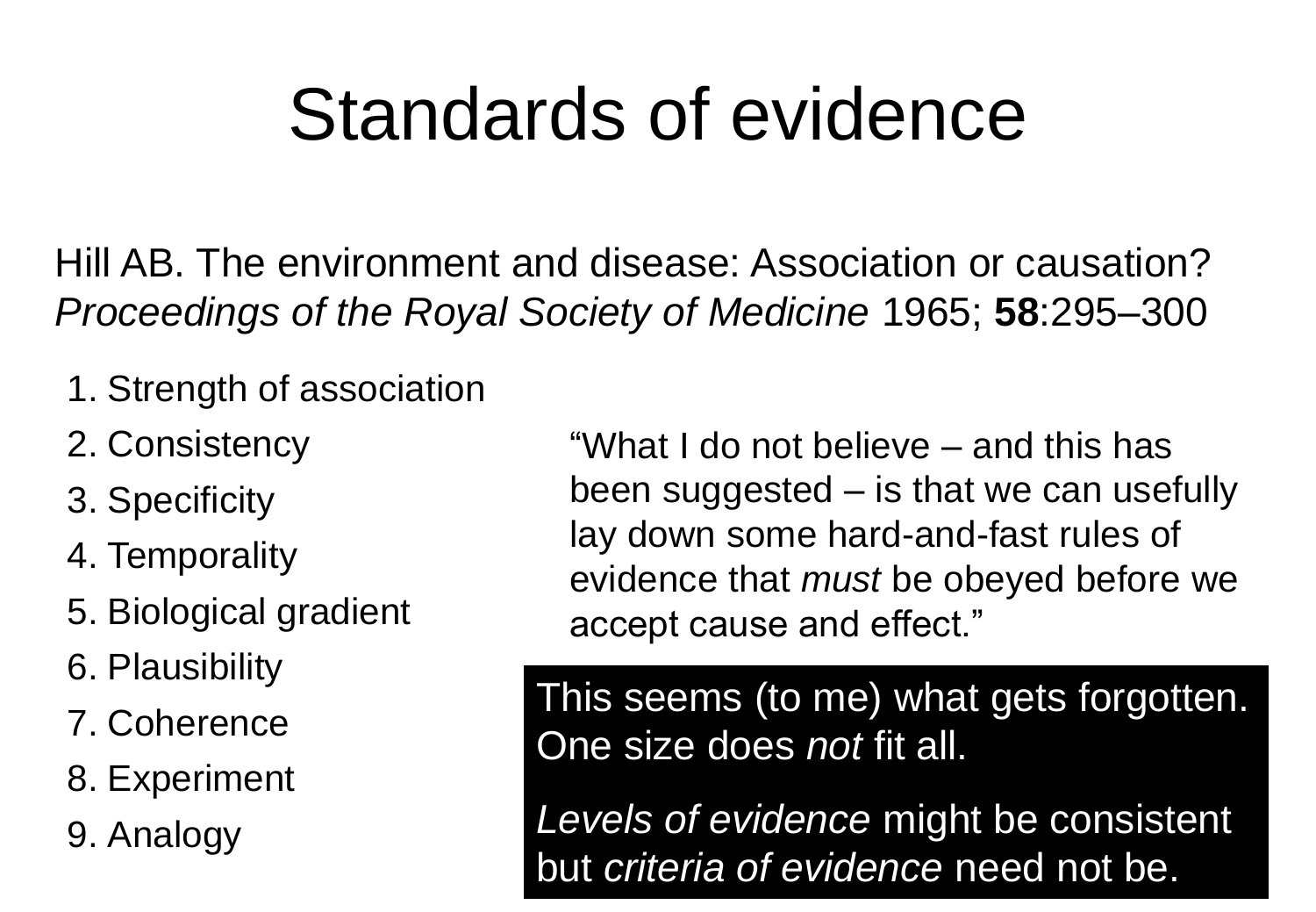### Standards of evidence

Hill AB. The environment and disease: Association or causation? *Proceedings of the Royal Society of Medicine* 1965; **58**:295–300

- 1. Strength of association
- 2. Consistency
- 3. Specificity
- 4. Temporality
- 5. Biological gradient
- 6. Plausibility
- 7. Coherence
- 8. Experiment
- 9. Analogy

"What I do not believe – and this has been suggested – is that we can usefully lay down some hard-and-fast rules of evidence that *must* be obeyed before we accept cause and effect."

This seems (to me) what gets forgotten. One size does *not* fit all.

*Levels of evidence* might be consistent but *criteria of evidence* need not be.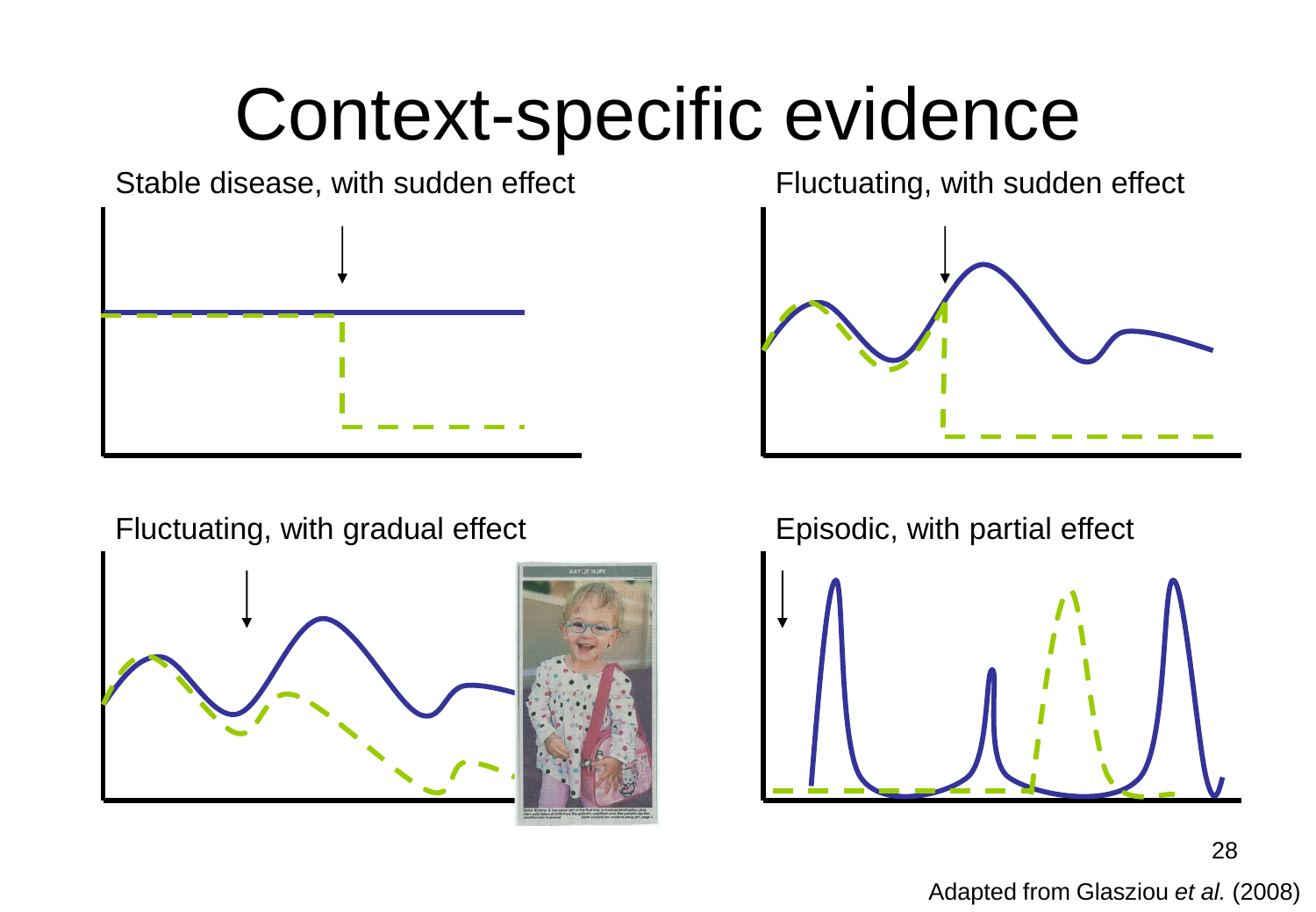### Context-specific evidence

Stable disease, with sudden effect



Fluctuating, with gradual effect Episodic, with partial effect



Fluctuating, with sudden effect





28 Adapted from Glasziou *et al.* (2008)